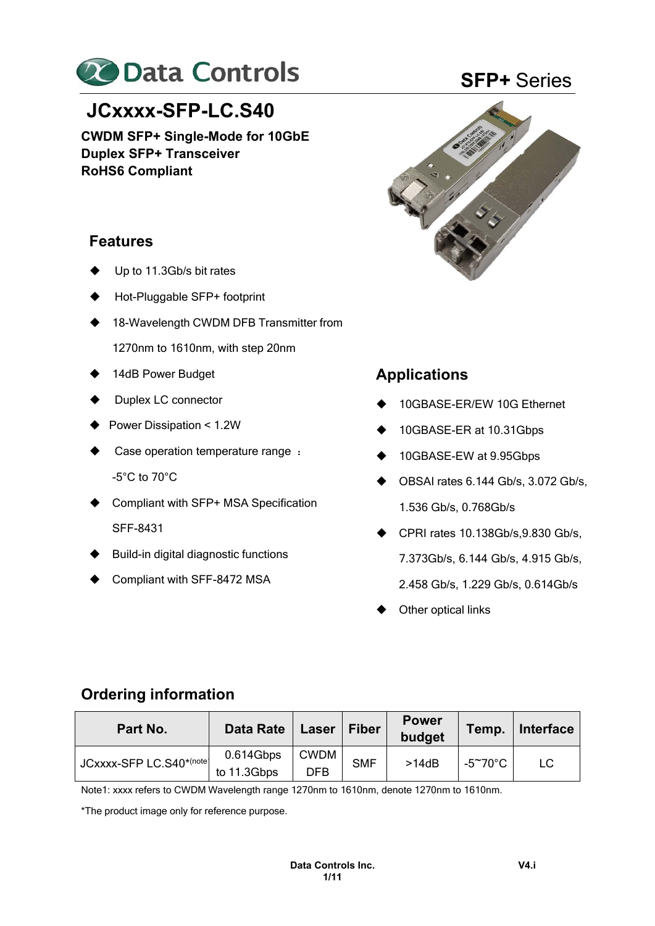

# **JCxxxx-SFP-LC.S40**

**CWDM SFP+ Single-Mode for 10GbE Duplex SFP+ Transceiver RoHS6 Compliant** 

# **Features**

- Up to 11.3Gb/s bit rates
- Hot-Pluggable SFP+ footprint
- 18-Wavelength CWDM DFB Transmitter from
	- 1270nm to 1610nm, with step 20nm
- 14dB Power Budget
- Duplex LC connector
- ▶ Power Dissipation < 1.2W
- Case operation temperature range : -5°C to 70°C
- ♦ Compliant with SFP+ MSA Specification SFF-8431
- Build-in digital diagnostic functions
- Compliant with SFF-8472 MSA

# **SFP+** Series



# **Applications**

- 10GBASE-ER/EW 10G Ethernet
- ◆ 10GBASE-ER at 10.31Gbps
- ◆ 10GBASE-EW at 9.95Gbps
- $\blacklozenge$  OBSAI rates 6.144 Gb/s, 3.072 Gb/s, 1.536 Gb/s, 0.768Gb/s
- $\blacklozenge$  CPRI rates 10.138Gb/s, 9.830 Gb/s, 7.373Gb/s, 6.144 Gb/s, 4.915 Gb/s, 2.458 Gb/s, 1.229 Gb/s, 0.614Gb/s
- Other optical links

# **Ordering information**

| Part No.                 | Data Rate                | Laser              | <b>Fiber</b> | <b>Power</b><br>budget | Temp.             | Interface |
|--------------------------|--------------------------|--------------------|--------------|------------------------|-------------------|-----------|
| JCxxxx-SFP LC.S40*(note) | 0.614Gbps<br>to 11.3Gbps | <b>CWDM</b><br>DFB | <b>SMF</b>   | >14dB                  | -5 $\degree$ 70°C | LC        |

Note1: xxxx refers to CWDM Wavelength range 1270nm to 1610nm, denote 1270nm to 1610nm.

\*The product image only for reference purpose.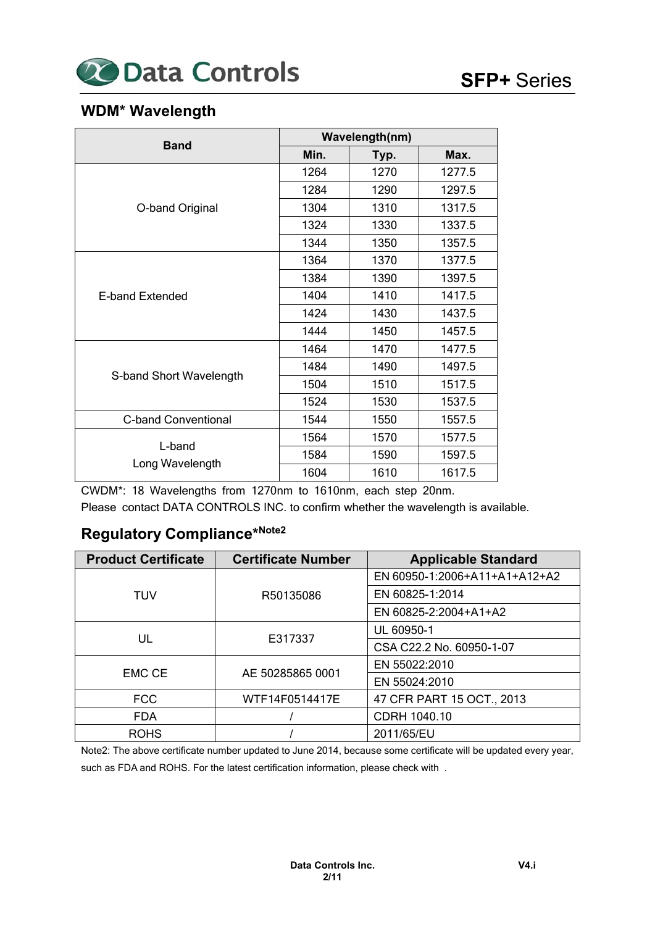

# **WDM\* Wavelength**

|                            | Wavelength(nm) |      |        |  |  |
|----------------------------|----------------|------|--------|--|--|
| <b>Band</b>                | Min.           | Typ. | Max.   |  |  |
|                            | 1264           | 1270 | 1277.5 |  |  |
|                            | 1284           | 1290 | 1297.5 |  |  |
| O-band Original            | 1304           | 1310 | 1317.5 |  |  |
|                            | 1324           | 1330 | 1337.5 |  |  |
|                            | 1344           | 1350 | 1357.5 |  |  |
|                            | 1364           | 1370 | 1377.5 |  |  |
|                            | 1384           | 1390 | 1397.5 |  |  |
| E-band Extended            | 1404           | 1410 | 1417.5 |  |  |
|                            | 1424           | 1430 | 1437.5 |  |  |
|                            | 1444           | 1450 | 1457.5 |  |  |
|                            | 1464           | 1470 | 1477.5 |  |  |
|                            | 1484           | 1490 | 1497.5 |  |  |
| S-band Short Wavelength    | 1504           | 1510 | 1517.5 |  |  |
|                            | 1524           | 1530 | 1537.5 |  |  |
| <b>C-band Conventional</b> | 1544           | 1550 | 1557.5 |  |  |
|                            | 1564           | 1570 | 1577.5 |  |  |
| L-band                     | 1584           | 1590 | 1597.5 |  |  |
| Long Wavelength            | 1604           | 1610 | 1617.5 |  |  |

CWDM\*: 18 Wavelengths from 1270nm to 1610nm, each step 20nm.

Please contact DATA CONTROLS INC. to confirm whether the wavelength is available.

# **Regulatory Compliance\*Note2**

| <b>Product Certificate</b><br><b>Certificate Number</b> |                  | <b>Applicable Standard</b>    |
|---------------------------------------------------------|------------------|-------------------------------|
|                                                         |                  | EN 60950-1:2006+A11+A1+A12+A2 |
| TUV                                                     | R50135086        | EN 60825-1:2014               |
|                                                         |                  | EN 60825-2:2004+A1+A2         |
|                                                         |                  | UL 60950-1                    |
| UL                                                      | E317337          | CSA C22.2 No. 60950-1-07      |
|                                                         |                  | EN 55022:2010                 |
| EMC CE                                                  | AE 50285865 0001 | EN 55024:2010                 |
| <b>FCC</b>                                              | WTF14F0514417E   | 47 CFR PART 15 OCT., 2013     |
| <b>FDA</b>                                              |                  | CDRH 1040.10                  |
| <b>ROHS</b>                                             |                  | 2011/65/EU                    |

Note2: The above certificate number updated to June 2014, because some certificate will be updated every year, such as FDA and ROHS. For the latest certification information, please check with .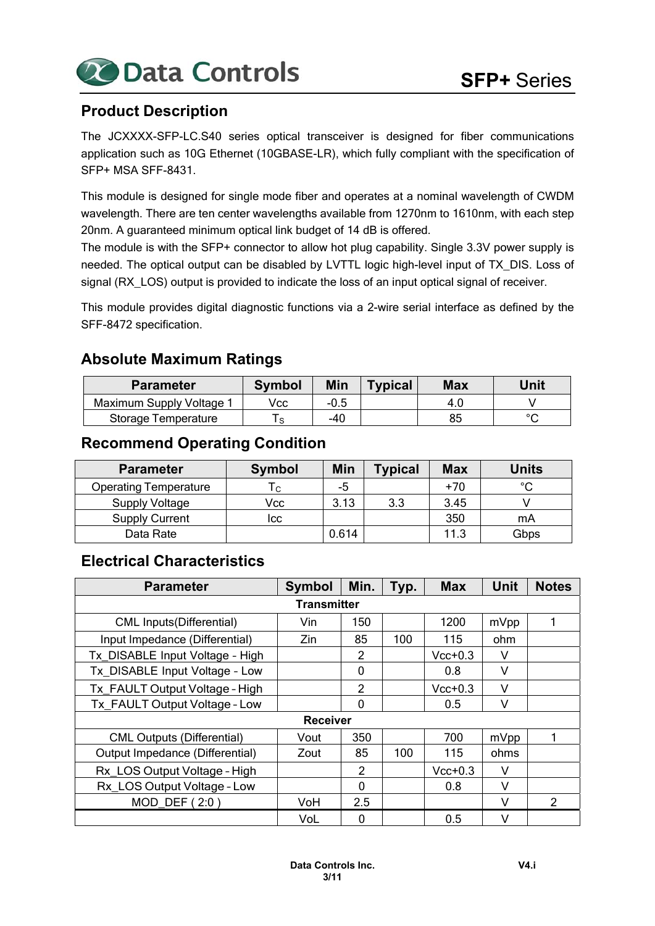

# **Product Description**

The JCXXXX-SFP-LC.S40 series optical transceiver is designed for fiber communications application such as 10G Ethernet (10GBASE-LR), which fully compliant with the specification of SFP+ MSA SFF-8431.

This module is designed for single mode fiber and operates at a nominal wavelength of CWDM wavelength. There are ten center wavelengths available from 1270nm to 1610nm, with each step 20nm. A guaranteed minimum optical link budget of 14 dB is offered.

The module is with the SFP+ connector to allow hot plug capability. Single 3.3V power supply is needed. The optical output can be disabled by LVTTL logic high-level input of TX\_DIS. Loss of signal (RX\_LOS) output is provided to indicate the loss of an input optical signal of receiver.

This module provides digital diagnostic functions via a 2-wire serial interface as defined by the SFF-8472 specification.

## **Absolute Maximum Ratings**

| <b>Parameter</b>         | <b>Symbol</b> | Min    | <b>Typical</b> | Max  | Unit   |
|--------------------------|---------------|--------|----------------|------|--------|
| Maximum Supply Voltage 1 | Vcc           | $-0.5$ |                | -4.U |        |
| Storage Temperature      |               | -40    |                | 85   | $\sim$ |

## **Recommend Operating Condition**

| <b>Parameter</b>             | <b>Symbol</b> | Min   | <b>Typical</b> | <b>Max</b> | <b>Units</b> |
|------------------------------|---------------|-------|----------------|------------|--------------|
| <b>Operating Temperature</b> | ۱c.           | -5    |                | $+70$      | $^{\circ}C$  |
| <b>Supply Voltage</b>        | Vcc           | 3.13  | 3.3            | 3.45       |              |
| <b>Supply Current</b>        | lcc           |       |                | 350        | mA           |
| Data Rate                    |               | 0.614 |                | 11.3       | Gbps         |

## **Electrical Characteristics**

| <b>Parameter</b>                  | <b>Symbol</b>   | Min.           | Typ. | <b>Max</b> | <b>Unit</b> | <b>Notes</b>   |  |  |  |
|-----------------------------------|-----------------|----------------|------|------------|-------------|----------------|--|--|--|
| <b>Transmitter</b>                |                 |                |      |            |             |                |  |  |  |
| <b>CML Inputs(Differential)</b>   | Vin             | 150            |      | 1200       | mVpp        | 1              |  |  |  |
| Input Impedance (Differential)    | Zin             | 85             | 100  | 115        | ohm         |                |  |  |  |
| Tx DISABLE Input Voltage - High   |                 | 2              |      | $Vcc+0.3$  | V           |                |  |  |  |
| Tx DISABLE Input Voltage - Low    |                 | 0              |      | 0.8        | V           |                |  |  |  |
| Tx FAULT Output Voltage - High    |                 | $\overline{2}$ |      | $Vcc+0.3$  | v           |                |  |  |  |
| Tx FAULT Output Voltage - Low     |                 | 0              |      | 0.5        | V           |                |  |  |  |
|                                   | <b>Receiver</b> |                |      |            |             |                |  |  |  |
| <b>CML Outputs (Differential)</b> | Vout            | 350            |      | 700        | mVpp        |                |  |  |  |
| Output Impedance (Differential)   | Zout            | 85             | 100  | 115        | ohms        |                |  |  |  |
| Rx LOS Output Voltage - High      |                 | 2              |      | $Vcc+0.3$  | V           |                |  |  |  |
| Rx LOS Output Voltage - Low       |                 | 0              |      | 0.8        | v           |                |  |  |  |
| MOD DEF $(2:0)$                   | VoH             | 2.5            |      |            | V           | $\mathfrak{p}$ |  |  |  |
|                                   | VoL             | 0              |      | 0.5        | V           |                |  |  |  |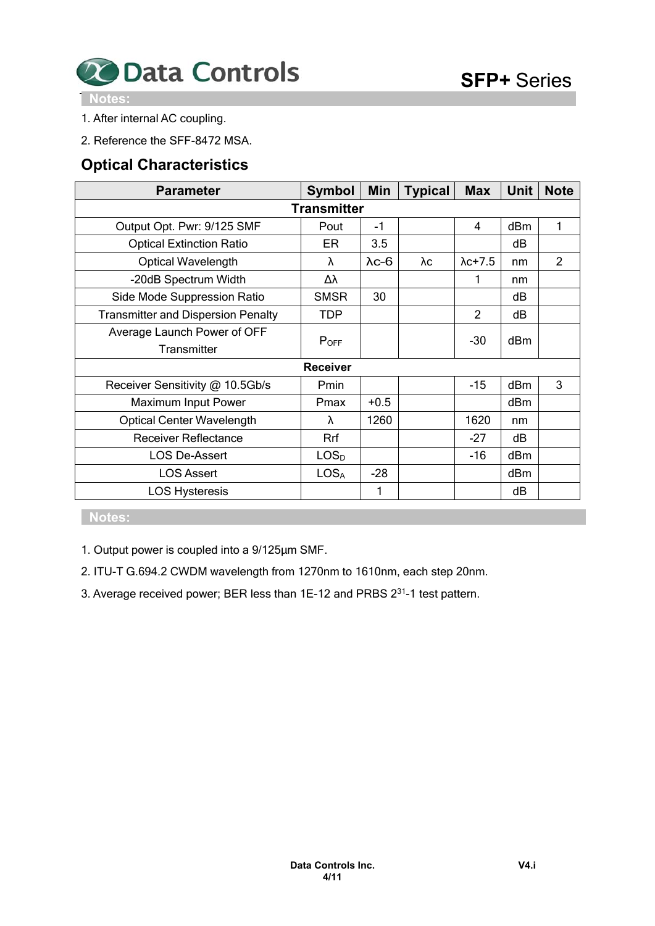

 **Notes:** 

- 1. After internal AC coupling.
- 2. Reference the SFF-8472 MSA.

## **Optical Characteristics**

| <b>Parameter</b>                          | <b>Symbol</b>    | Min           | <b>Typical</b> | <b>Max</b>      | <b>Unit</b> | <b>Note</b> |  |  |
|-------------------------------------------|------------------|---------------|----------------|-----------------|-------------|-------------|--|--|
| <b>Transmitter</b>                        |                  |               |                |                 |             |             |  |  |
| Output Opt. Pwr: 9/125 SMF                | Pout             | $-1$          |                | 4               | dBm         | 1           |  |  |
| <b>Optical Extinction Ratio</b>           | ER.              | 3.5           |                |                 | dВ          |             |  |  |
| <b>Optical Wavelength</b>                 | λ                | $\lambda$ c-6 | λс             | $\lambda$ c+7.5 | nm          | 2           |  |  |
| -20dB Spectrum Width                      | Δλ               |               |                | 1               | nm          |             |  |  |
| Side Mode Suppression Ratio               | <b>SMSR</b>      | 30            |                |                 | dB          |             |  |  |
| <b>Transmitter and Dispersion Penalty</b> | TDP              |               |                | $\overline{2}$  | dB          |             |  |  |
| Average Launch Power of OFF               |                  |               |                | $-30$           | dBm         |             |  |  |
| <b>Transmitter</b>                        | POFF             |               |                |                 |             |             |  |  |
|                                           | <b>Receiver</b>  |               |                |                 |             |             |  |  |
| Receiver Sensitivity @ 10.5Gb/s           | Pmin             |               |                | $-15$           | dBm         | 3           |  |  |
| Maximum Input Power                       | Pmax             | $+0.5$        |                |                 | dBm         |             |  |  |
| <b>Optical Center Wavelength</b>          | λ                | 1260          |                | 1620            | nm          |             |  |  |
| <b>Receiver Reflectance</b>               | Rrf              |               |                | $-27$           | dB          |             |  |  |
| <b>LOS De-Assert</b>                      | LOS <sub>D</sub> |               |                | $-16$           | dBm         |             |  |  |
| <b>LOS Assert</b>                         | <b>LOSA</b>      | $-28$         |                |                 | dBm         |             |  |  |
| <b>LOS Hysteresis</b>                     |                  | 1             |                |                 | dB          |             |  |  |

 **Notes:** 

1. Output power is coupled into a 9/125μm SMF.

2. ITU-T G.694.2 CWDM wavelength from 1270nm to 1610nm, each step 20nm.

3. Average received power; BER less than 1E-12 and PRBS 231-1 test pattern.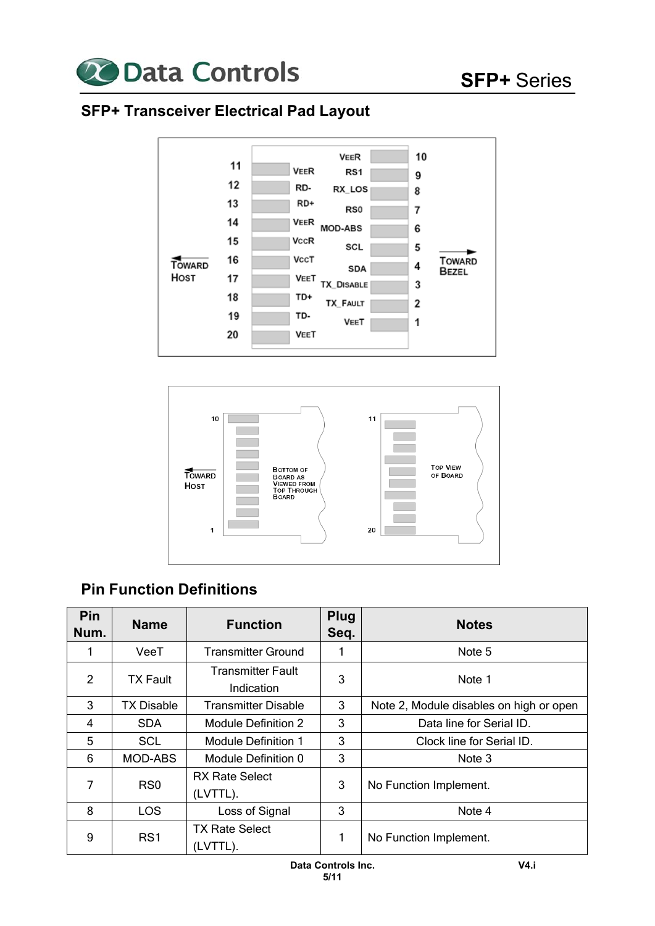

# **SFP+ Transceiver Electrical Pad Layout**





# **Pin Function Definitions**

| Pin<br>Num. | <b>Name</b>     | <b>Function</b>                        | <b>Plug</b><br>Seq. | <b>Notes</b>                            |
|-------------|-----------------|----------------------------------------|---------------------|-----------------------------------------|
|             | VeeT            | <b>Transmitter Ground</b>              |                     | Note 5                                  |
| 2           | <b>TX Fault</b> | <b>Transmitter Fault</b><br>Indication | 3                   | Note 1                                  |
| 3           | TX Disable      | <b>Transmitter Disable</b>             | 3                   | Note 2, Module disables on high or open |
| 4           | <b>SDA</b>      | Module Definition 2                    | 3                   | Data line for Serial ID.                |
| 5           | <b>SCL</b>      | Module Definition 1                    | 3                   | Clock line for Serial ID.               |
| 6           | <b>MOD-ABS</b>  | Module Definition 0                    | 3                   | Note 3                                  |
| 7           | RS <sub>0</sub> | <b>RX Rate Select</b><br>(LVTTL).      | 3                   | No Function Implement.                  |
| 8           | <b>LOS</b>      | Loss of Signal                         | 3                   | Note 4                                  |
| 9           | RS1             | <b>TX Rate Select</b><br>(LVTTL).      |                     | No Function Implement.                  |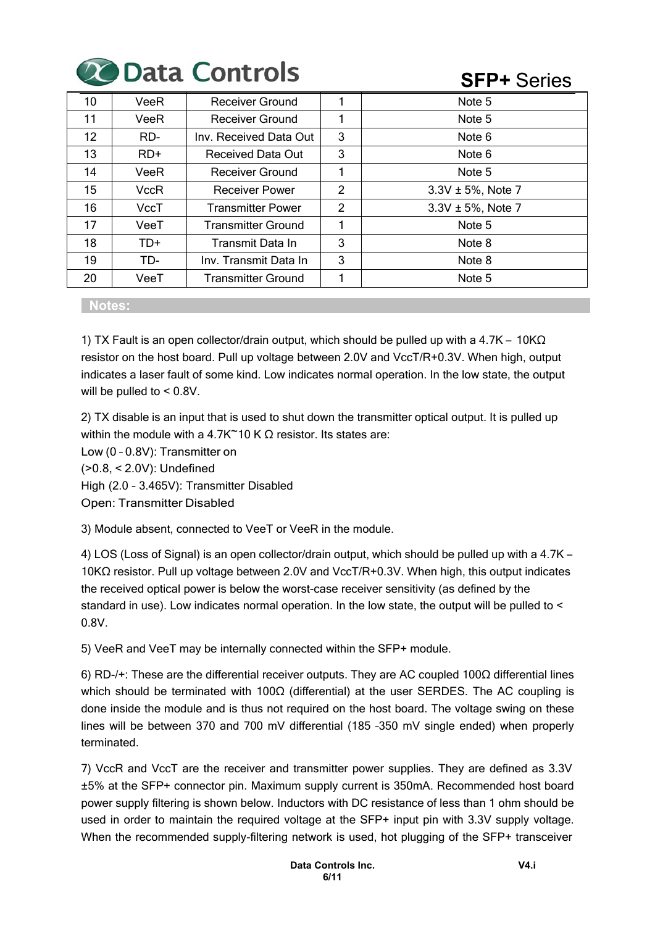# 20 Data Controls

# **SFP+** Series

| 10  | VeeR  | Receiver Ground           |                | Note 5                 |
|-----|-------|---------------------------|----------------|------------------------|
| 11  | VeeR  | Receiver Ground           |                | Note 5                 |
| 12. | RD-   | Inv. Received Data Out    | 3              | Note 6                 |
| 13  | $RD+$ | Received Data Out         | 3              | Note 6                 |
| 14  | VeeR  | <b>Receiver Ground</b>    |                | Note 5                 |
| 15  | VccR  | <b>Receiver Power</b>     | $\overline{2}$ | $3.3V \pm 5%$ , Note 7 |
| 16  | VccT  | <b>Transmitter Power</b>  | 2              | $3.3V \pm 5%$ , Note 7 |
| 17  | VeeT  | <b>Transmitter Ground</b> |                | Note 5                 |
| 18  | TD+   | Transmit Data In          | 3              | Note 8                 |
| 19  | TD-   | Inv. Transmit Data In     | 3              | Note 8                 |
| 20  | VeeT  | <b>Transmitter Ground</b> |                | Note 5                 |

#### **Notes:**

1) TX Fault is an open collector/drain output, which should be pulled up with a 4.7K – 10KΩ resistor on the host board. Pull up voltage between 2.0V and VccT/R+0.3V. When high, output indicates a laser fault of some kind. Low indicates normal operation. In the low state, the output will be pulled to < 0.8V.

2) TX disable is an input that is used to shut down the transmitter optical output. It is pulled up within the module with a 4.7K $\sim$ 10 K  $\Omega$  resistor. Its states are:

Low (0 – 0.8V): Transmitter on (>0.8, < 2.0V): Undefined High (2.0 – 3.465V): Transmitter Disabled

Open: Transmitter Disabled

3) Module absent, connected to VeeT or VeeR in the module.

4) LOS (Loss of Signal) is an open collector/drain output, which should be pulled up with a 4.7K – 10KΩ resistor. Pull up voltage between 2.0V and VccT/R+0.3V. When high, this output indicates the received optical power is below the worst-case receiver sensitivity (as defined by the standard in use). Low indicates normal operation. In the low state, the output will be pulled to < 0.8V.

5) VeeR and VeeT may be internally connected within the SFP+ module.

6) RD-/+: These are the differential receiver outputs. They are AC coupled 100Ω differential lines which should be terminated with 100Ω (differential) at the user SERDES. The AC coupling is done inside the module and is thus not required on the host board. The voltage swing on these lines will be between 370 and 700 mV differential (185 –350 mV single ended) when properly terminated.

7) VccR and VccT are the receiver and transmitter power supplies. They are defined as 3.3V ±5% at the SFP+ connector pin. Maximum supply current is 350mA. Recommended host board power supply filtering is shown below. Inductors with DC resistance of less than 1 ohm should be used in order to maintain the required voltage at the SFP+ input pin with 3.3V supply voltage. When the recommended supply-filtering network is used, hot plugging of the SFP+ transceiver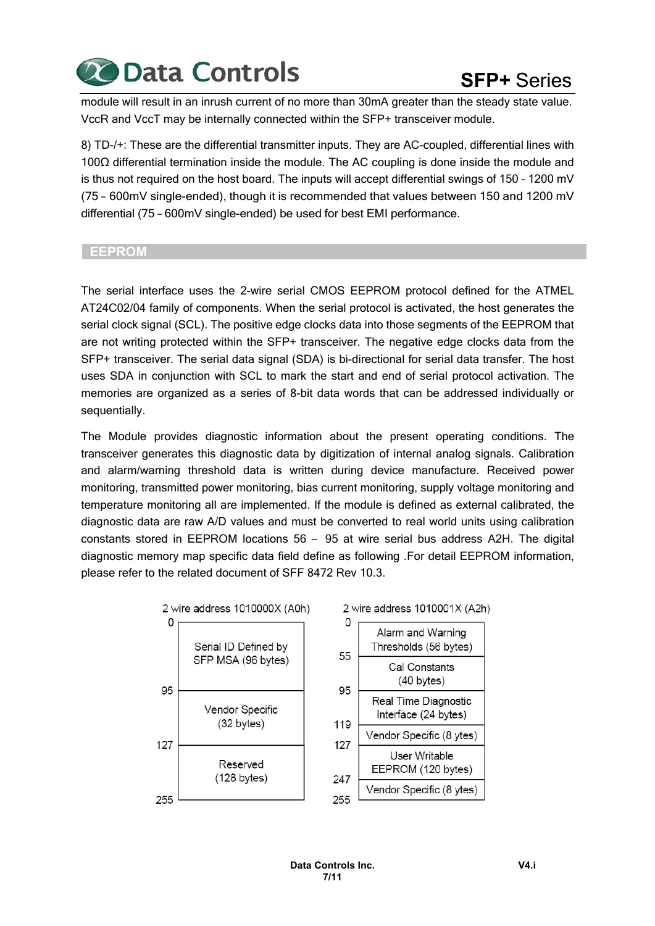

module will result in an inrush current of no more than 30mA greater than the steady state value. VccR and VccT may be internally connected within the SFP+ transceiver module.

8) TD-/+: These are the differential transmitter inputs. They are AC-coupled, differential lines with 100Ω differential termination inside the module. The AC coupling is done inside the module and is thus not required on the host board. The inputs will accept differential swings of 150 – 1200 mV (75 – 600mV single-ended), though it is recommended that values between 150 and 1200 mV differential (75 – 600mV single-ended) be used for best EMI performance.

#### **EEPROM**

The serial interface uses the 2-wire serial CMOS EEPROM protocol defined for the ATMEL AT24C02/04 family of components. When the serial protocol is activated, the host generates the serial clock signal (SCL). The positive edge clocks data into those segments of the EEPROM that are not writing protected within the SFP+ transceiver. The negative edge clocks data from the SFP+ transceiver. The serial data signal (SDA) is bi-directional for serial data transfer. The host uses SDA in conjunction with SCL to mark the start and end of serial protocol activation. The memories are organized as a series of 8-bit data words that can be addressed individually or sequentially.

The Module provides diagnostic information about the present operating conditions. The transceiver generates this diagnostic data by digitization of internal analog signals. Calibration and alarm/warning threshold data is written during device manufacture. Received power monitoring, transmitted power monitoring, bias current monitoring, supply voltage monitoring and temperature monitoring all are implemented. If the module is defined as external calibrated, the diagnostic data are raw A/D values and must be converted to real world units using calibration constants stored in EEPROM locations 56 – 95 at wire serial bus address A2H. The digital diagnostic memory map specific data field define as following .For detail EEPROM information, please refer to the related document of SFF 8472 Rev 10.3.

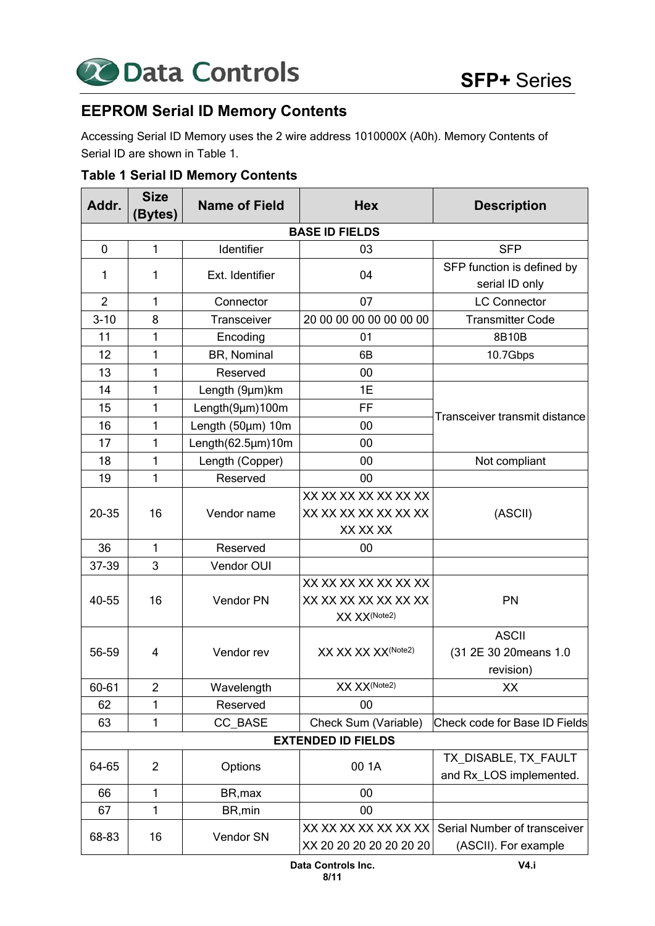

# **EEPROM Serial ID Memory Contents**

Accessing Serial ID Memory uses the 2 wire address 1010000X (A0h). Memory Contents of Serial ID are shown in Table 1.

#### **Table 1 Serial ID Memory Contents**

| Addr.          | <b>Size</b><br>(Bytes) | <b>Name of Field</b>    | <b>Hex</b>                     | <b>Description</b>            |                      |
|----------------|------------------------|-------------------------|--------------------------------|-------------------------------|----------------------|
|                |                        |                         | <b>BASE ID FIELDS</b>          |                               |                      |
| 0              | 1                      | Identifier              | 03                             | <b>SFP</b>                    |                      |
| 1              | 1                      | Ext. Identifier         | 04                             | SFP function is defined by    |                      |
|                |                        |                         |                                | serial ID only                |                      |
| $\overline{2}$ | 1                      | Connector               | 07                             | <b>LC Connector</b>           |                      |
| $3 - 10$       | 8                      | Transceiver             | 20 00 00 00 00 00 00 00        | <b>Transmitter Code</b>       |                      |
| 11             | 1                      | Encoding                | 01                             | 8B10B                         |                      |
| 12             | 1                      | BR, Nominal             | 6B                             | 10.7Gbps                      |                      |
| 13             | 1                      | Reserved                | 00                             |                               |                      |
| 14             | 1                      | Length (9µm)km          | 1E                             |                               |                      |
| 15             | 1                      | Length(9µm)100m         | FF                             |                               |                      |
| 16             | 1                      | Length $(50 \mu m)$ 10m | 00                             | Transceiver transmit distance |                      |
| 17             | 1                      | Length(62.5µm)10m       | 00                             |                               |                      |
| 18             | 1                      | Length (Copper)         | 00                             | Not compliant                 |                      |
| 19             | 1                      | Reserved                | 00                             |                               |                      |
|                |                        |                         | XX XX XX XX XX XX XX           |                               |                      |
| 20-35          | 16                     | Vendor name             | XX XX XX XX XX XX XX           | (ASCII)                       |                      |
|                |                        |                         | XX XX XX                       |                               |                      |
| 36             | 1                      | Reserved                | 00                             |                               |                      |
| 37-39          | 3                      | Vendor OUI              |                                |                               |                      |
|                |                        |                         | XX XX XX XX XX XX XX           |                               |                      |
| 40-55          | 16                     | Vendor PN               | XX XX XX XX XX XX XX           | <b>PN</b>                     |                      |
|                |                        |                         | XX XX(Note2)                   |                               |                      |
|                |                        |                         |                                | <b>ASCII</b>                  |                      |
| 56-59          | 4                      | Vendor rev              | XX XX XX XX <sup>(Note2)</sup> | (31 2E 30 20 means 1.0        |                      |
|                |                        |                         |                                | revision)                     |                      |
| 60-61          | $\overline{2}$         | Wavelength              | XX XX(Note2)                   | XX                            |                      |
| 62             | 1                      | Reserved                | 00                             |                               |                      |
| 63             | 1                      | CC BASE                 | Check Sum (Variable)           | Check code for Base ID Fields |                      |
|                |                        |                         | <b>EXTENDED ID FIELDS</b>      |                               |                      |
| 64-65          | $\overline{2}$         | Options                 | 00 1A                          | TX_DISABLE, TX_FAULT          |                      |
|                |                        |                         |                                | and Rx_LOS implemented.       |                      |
| 66             | 1                      | BR, max                 | 00                             |                               |                      |
| 67             | 1                      | BR, min                 | 00                             |                               |                      |
| 68-83          | 16                     | Vendor SN               | XX XX XX XX XX XX XX           | Serial Number of transceiver  |                      |
|                |                        |                         |                                | XX 20 20 20 20 20 20 20       | (ASCII). For example |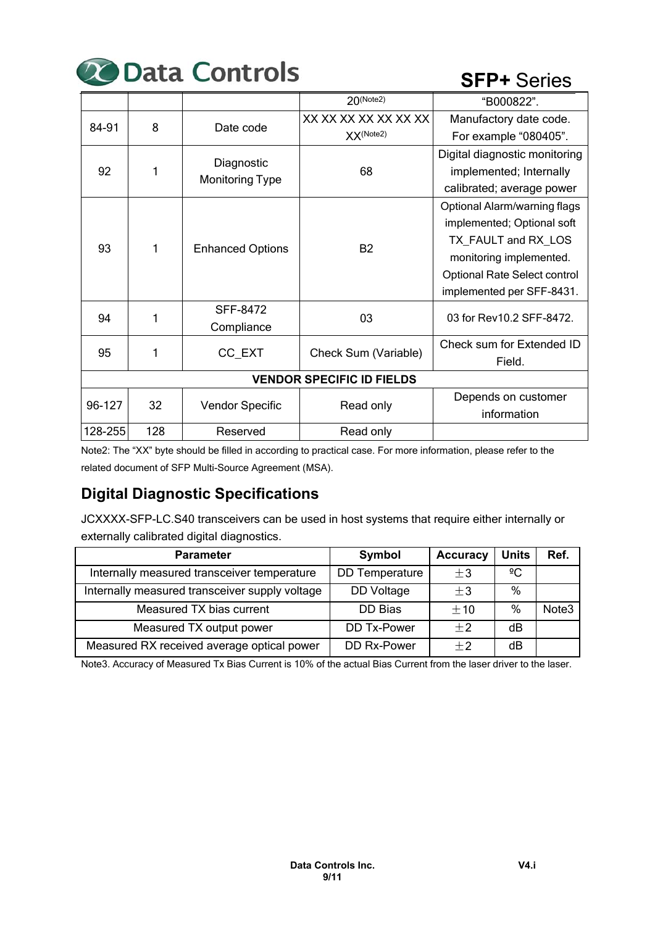# **20 Data Controls**

# **SFP+** Series

|         |                                  |                                      | $20$ (Note2)         | "B000822".                                                                                                                                                                       |  |  |  |  |
|---------|----------------------------------|--------------------------------------|----------------------|----------------------------------------------------------------------------------------------------------------------------------------------------------------------------------|--|--|--|--|
| 84-91   | 8                                | Date code                            | XX XX XX XX XX XX XX | Manufactory date code.                                                                                                                                                           |  |  |  |  |
|         |                                  |                                      | XX(Note2)            | For example "080405".                                                                                                                                                            |  |  |  |  |
| 92      |                                  | Diagnostic<br><b>Monitoring Type</b> | 68                   | Digital diagnostic monitoring<br>implemented; Internally<br>calibrated; average power                                                                                            |  |  |  |  |
| 93      | 1                                | <b>Enhanced Options</b>              | <b>B2</b>            | Optional Alarm/warning flags<br>implemented; Optional soft<br>TX FAULT and RX LOS<br>monitoring implemented.<br><b>Optional Rate Select control</b><br>implemented per SFF-8431. |  |  |  |  |
| 94      | 1                                | SFF-8472<br>Compliance               | 03                   | 03 for Rev10.2 SFF-8472.                                                                                                                                                         |  |  |  |  |
| 95      | 1                                | CC EXT                               | Check Sum (Variable) | Check sum for Extended ID<br>Field.                                                                                                                                              |  |  |  |  |
|         | <b>VENDOR SPECIFIC ID FIELDS</b> |                                      |                      |                                                                                                                                                                                  |  |  |  |  |
| 96-127  | 32                               | <b>Vendor Specific</b>               | Read only            | Depends on customer                                                                                                                                                              |  |  |  |  |
|         |                                  |                                      |                      | information                                                                                                                                                                      |  |  |  |  |
| 128-255 | 128                              | Reserved                             | Read only            |                                                                                                                                                                                  |  |  |  |  |

Note2: The "XX" byte should be filled in according to practical case. For more information, please refer to the related document of SFP Multi-Source Agreement (MSA).

# **Digital Diagnostic Specifications**

JCXXXX-SFP-LC.S40 transceivers can be used in host systems that require either internally or externally calibrated digital diagnostics.

| <b>Parameter</b>                               | Symbol                | <b>Accuracy</b> | <b>Units</b> | Ref.              |
|------------------------------------------------|-----------------------|-----------------|--------------|-------------------|
| Internally measured transceiver temperature    | <b>DD</b> Temperature | $\pm 3$         | $\sqrt{2}C$  |                   |
| Internally measured transceiver supply voltage | DD Voltage            | $\pm 3$         | $\%$         |                   |
| Measured TX bias current                       | DD Bias               | $+10$           | $\%$         | Note <sub>3</sub> |
| Measured TX output power                       | DD Tx-Power           | $+2$            | dВ           |                   |
| Measured RX received average optical power     | DD Rx-Power           | $+2$            | dB           |                   |

Note3. Accuracy of Measured Tx Bias Current is 10% of the actual Bias Current from the laser driver to the laser.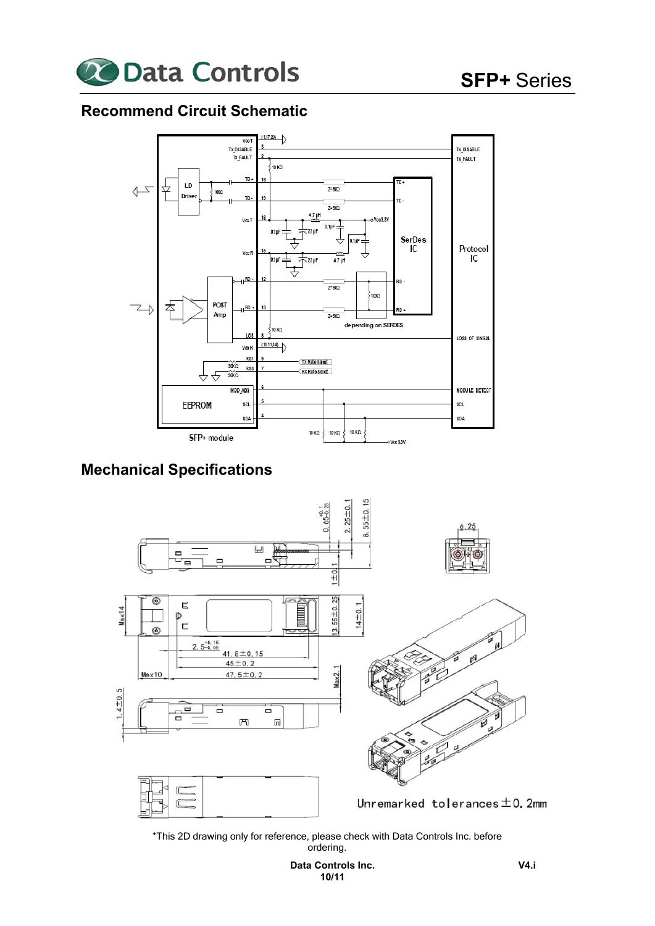

# **Recommend Circuit Schematic**



# **Mechanical Specifications**



\*This 2D drawing only for reference, please check with Data Controls Inc. before ordering.

> **Data Controls Inc. 10/11**